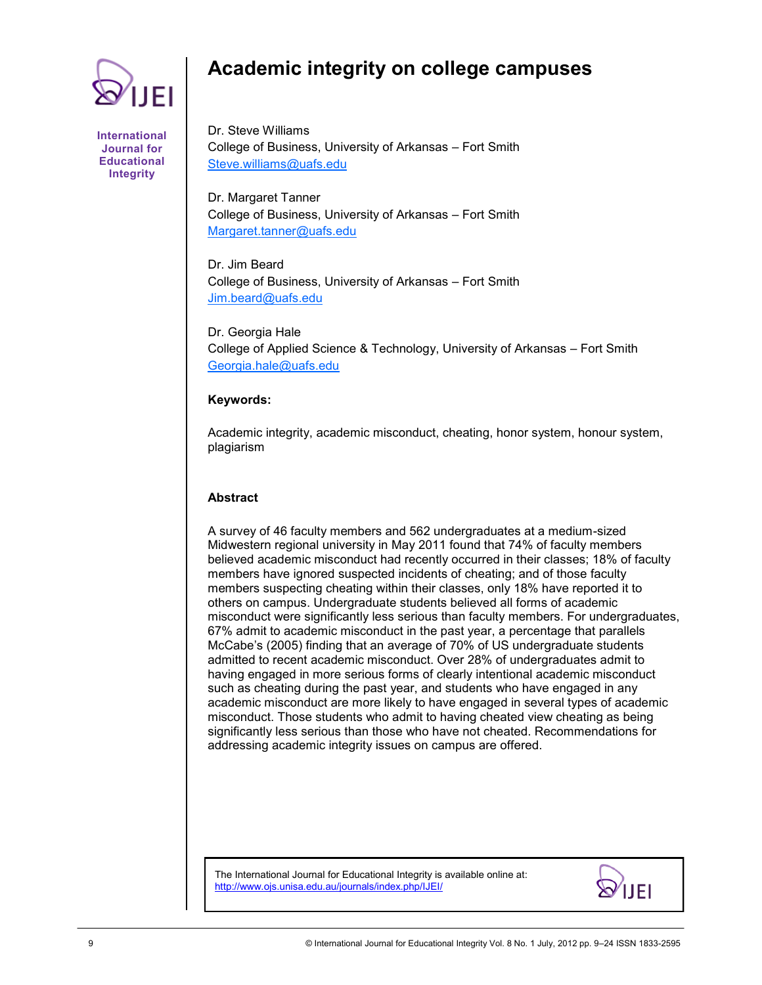

#### **International Journal for Educational Integrity**

# **Academic integrity on college campuses**

Dr. Steve Williams College of Business, University of Arkansas – Fort Smith [Steve.williams@uafs.edu](mailto:Steve.williams@uafs.edu)

Dr. Margaret Tanner College of Business, University of Arkansas – Fort Smith [Margaret.tanner@uafs.edu](mailto:Margaret.tanner@uafs.edu)

Dr. Jim Beard College of Business, University of Arkansas – Fort Smith [Jim.beard@uafs.edu](mailto:Jim.beard@uafs.edu)

Dr. Georgia Hale College of Applied Science & Technology, University of Arkansas – Fort Smith [Georgia.hale@uafs.edu](mailto:Georgia.hale@uafs.edu)

### **Keywords:**

Academic integrity, academic misconduct, cheating, honor system, honour system, plagiarism

#### **Abstract**

A survey of 46 faculty members and 562 undergraduates at a medium-sized Midwestern regional university in May 2011 found that 74% of faculty members believed academic misconduct had recently occurred in their classes; 18% of faculty members have ignored suspected incidents of cheating; and of those faculty members suspecting cheating within their classes, only 18% have reported it to others on campus. Undergraduate students believed all forms of academic misconduct were significantly less serious than faculty members. For undergraduates, 67% admit to academic misconduct in the past year, a percentage that parallels McCabe's (2005) finding that an average of 70% of US undergraduate students admitted to recent academic misconduct. Over 28% of undergraduates admit to having engaged in more serious forms of clearly intentional academic misconduct such as cheating during the past year, and students who have engaged in any academic misconduct are more likely to have engaged in several types of academic misconduct. Those students who admit to having cheated view cheating as being significantly less serious than those who have not cheated. Recommendations for addressing academic integrity issues on campus are offered.

The International Journal for Educational Integrity is available online at: http://www.ojs.unisa.edu.au/journals/index.php/IJEI/

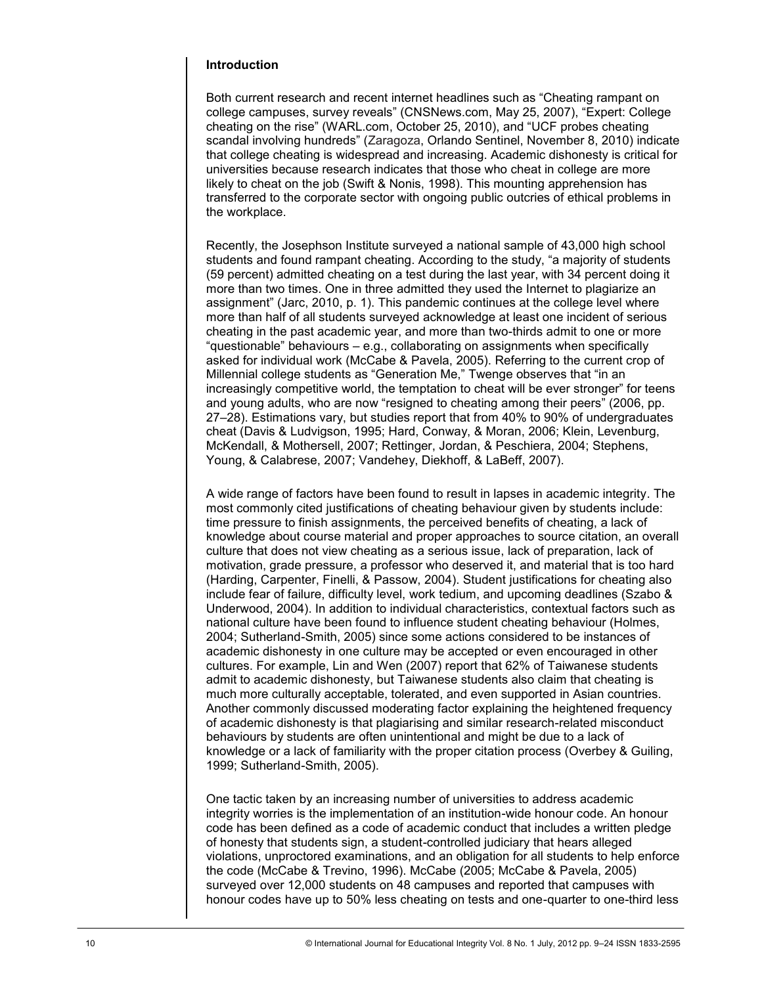### **Introduction**

Both current research and recent internet headlines such as "Cheating rampant on college campuses, survey reveals" (CNSNews.com, May 25, 2007), "Expert: College cheating on the rise" (WARL.com, October 25, 2010), and "UCF probes cheating scandal involving hundreds‖ (Zaragoza, Orlando Sentinel, November 8, 2010) indicate that college cheating is widespread and increasing. Academic dishonesty is critical for universities because research indicates that those who cheat in college are more likely to cheat on the job (Swift & Nonis, 1998). This mounting apprehension has transferred to the corporate sector with ongoing public outcries of ethical problems in the workplace.

Recently, the Josephson Institute surveyed a national sample of 43,000 high school students and found rampant cheating. According to the study, "a majority of students (59 percent) admitted cheating on a test during the last year, with 34 percent doing it more than two times. One in three admitted they used the Internet to plagiarize an assignment" (Jarc, 2010, p. 1). This pandemic continues at the college level where more than half of all students surveyed acknowledge at least one incident of serious cheating in the past academic year, and more than two-thirds admit to one or more ―questionable‖ behaviours – e.g., collaborating on assignments when specifically asked for individual work (McCabe & Pavela, 2005). Referring to the current crop of Millennial college students as "Generation Me," Twenge observes that "in an increasingly competitive world, the temptation to cheat will be ever stronger" for teens and young adults, who are now "resigned to cheating among their peers" (2006, pp. 27–28). Estimations vary, but studies report that from 40% to 90% of undergraduates cheat (Davis & Ludvigson, 1995; Hard, Conway, & Moran, 2006; Klein, Levenburg, McKendall, & Mothersell, 2007; Rettinger, Jordan, & Peschiera, 2004; Stephens, Young, & Calabrese, 2007; Vandehey, Diekhoff, & LaBeff, 2007).

A wide range of factors have been found to result in lapses in academic integrity. The most commonly cited justifications of cheating behaviour given by students include: time pressure to finish assignments, the perceived benefits of cheating, a lack of knowledge about course material and proper approaches to source citation, an overall culture that does not view cheating as a serious issue, lack of preparation, lack of motivation, grade pressure, a professor who deserved it, and material that is too hard (Harding, Carpenter, Finelli, & Passow, 2004). Student justifications for cheating also include fear of failure, difficulty level, work tedium, and upcoming deadlines (Szabo & Underwood, 2004). In addition to individual characteristics, contextual factors such as national culture have been found to influence student cheating behaviour (Holmes, 2004; Sutherland-Smith, 2005) since some actions considered to be instances of academic dishonesty in one culture may be accepted or even encouraged in other cultures. For example, Lin and Wen (2007) report that 62% of Taiwanese students admit to academic dishonesty, but Taiwanese students also claim that cheating is much more culturally acceptable, tolerated, and even supported in Asian countries. Another commonly discussed moderating factor explaining the heightened frequency of academic dishonesty is that plagiarising and similar research-related misconduct behaviours by students are often unintentional and might be due to a lack of knowledge or a lack of familiarity with the proper citation process (Overbey & Guiling, 1999; Sutherland-Smith, 2005).

One tactic taken by an increasing number of universities to address academic integrity worries is the implementation of an institution-wide honour code. An honour code has been defined as a code of academic conduct that includes a written pledge of honesty that students sign, a student-controlled judiciary that hears alleged violations, unproctored examinations, and an obligation for all students to help enforce the code (McCabe & Trevino, 1996). McCabe (2005; McCabe & Pavela, 2005) surveyed over 12,000 students on 48 campuses and reported that campuses with honour codes have up to 50% less cheating on tests and one-quarter to one-third less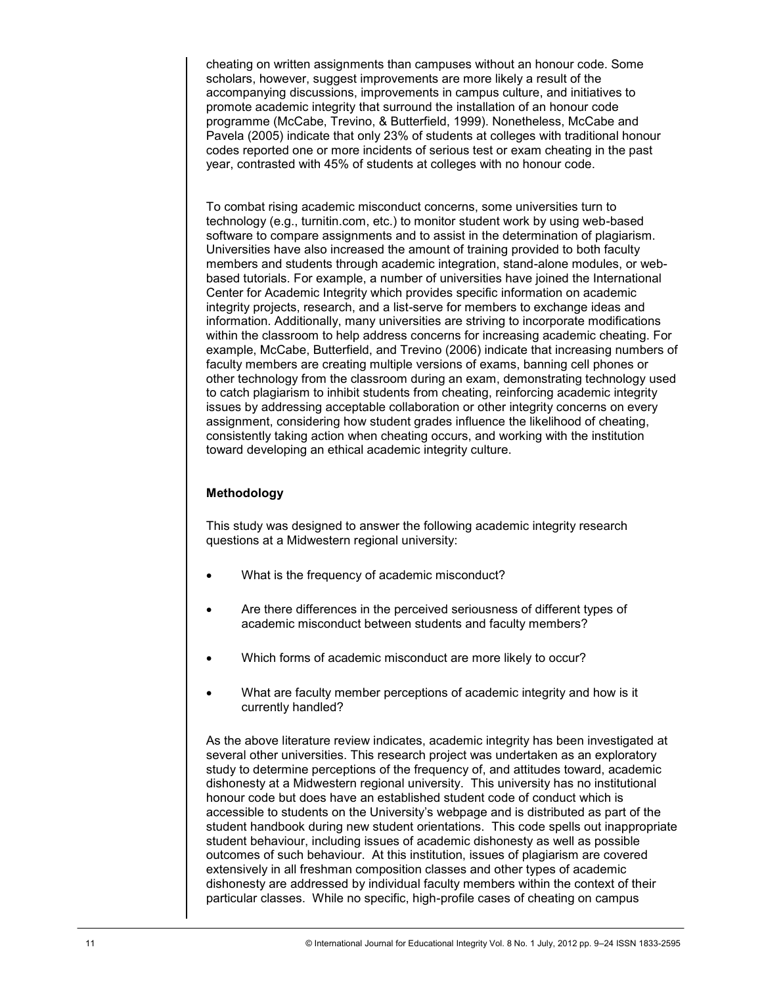cheating on written assignments than campuses without an honour code. Some scholars, however, suggest improvements are more likely a result of the accompanying discussions, improvements in campus culture, and initiatives to promote academic integrity that surround the installation of an honour code programme (McCabe, Trevino, & Butterfield, 1999). Nonetheless, McCabe and Pavela (2005) indicate that only 23% of students at colleges with traditional honour codes reported one or more incidents of serious test or exam cheating in the past year, contrasted with 45% of students at colleges with no honour code.

To combat rising academic misconduct concerns, some universities turn to technology (e.g., turnitin.com, etc.) to monitor student work by using web-based software to compare assignments and to assist in the determination of plagiarism. Universities have also increased the amount of training provided to both faculty members and students through academic integration, stand-alone modules, or webbased tutorials. For example, a number of universities have joined the International Center for Academic Integrity which provides specific information on academic integrity projects, research, and a list-serve for members to exchange ideas and information. Additionally, many universities are striving to incorporate modifications within the classroom to help address concerns for increasing academic cheating. For example, McCabe, Butterfield, and Trevino (2006) indicate that increasing numbers of faculty members are creating multiple versions of exams, banning cell phones or other technology from the classroom during an exam, demonstrating technology used to catch plagiarism to inhibit students from cheating, reinforcing academic integrity issues by addressing acceptable collaboration or other integrity concerns on every assignment, considering how student grades influence the likelihood of cheating, consistently taking action when cheating occurs, and working with the institution toward developing an ethical academic integrity culture.

## **Methodology**

This study was designed to answer the following academic integrity research questions at a Midwestern regional university:

- What is the frequency of academic misconduct?
- Are there differences in the perceived seriousness of different types of academic misconduct between students and faculty members?
- Which forms of academic misconduct are more likely to occur?
- What are faculty member perceptions of academic integrity and how is it currently handled?

As the above literature review indicates, academic integrity has been investigated at several other universities. This research project was undertaken as an exploratory study to determine perceptions of the frequency of, and attitudes toward, academic dishonesty at a Midwestern regional university. This university has no institutional honour code but does have an established student code of conduct which is accessible to students on the University's webpage and is distributed as part of the student handbook during new student orientations. This code spells out inappropriate student behaviour, including issues of academic dishonesty as well as possible outcomes of such behaviour. At this institution, issues of plagiarism are covered extensively in all freshman composition classes and other types of academic dishonesty are addressed by individual faculty members within the context of their particular classes. While no specific, high-profile cases of cheating on campus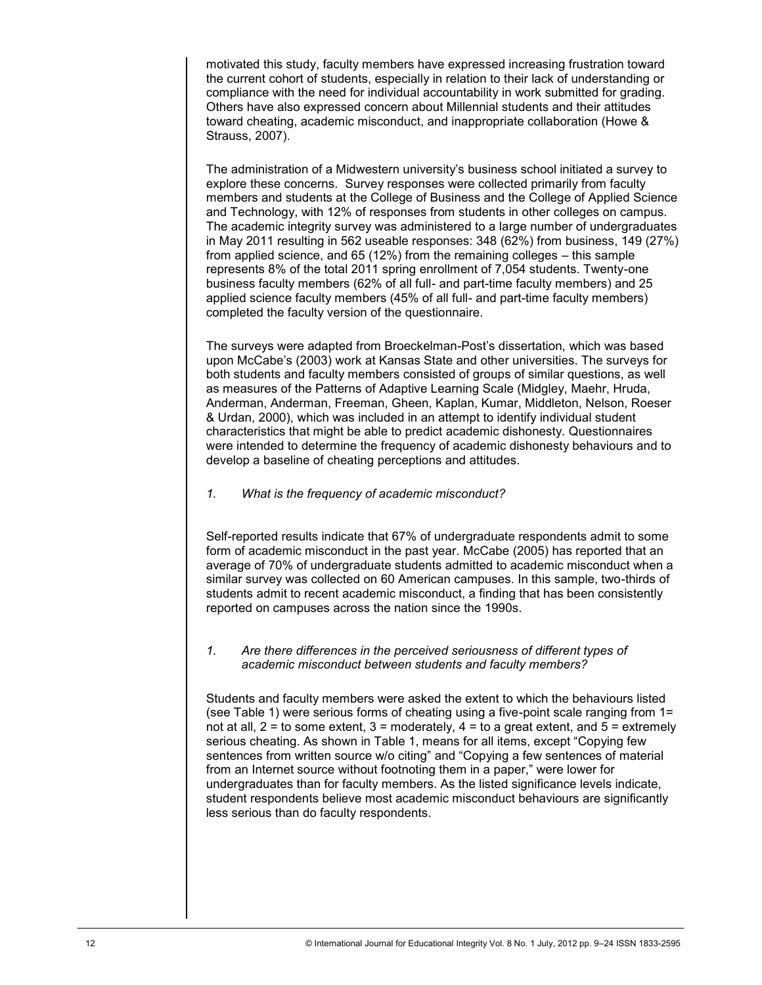motivated this study, faculty members have expressed increasing frustration toward the current cohort of students, especially in relation to their lack of understanding or compliance with the need for individual accountability in work submitted for grading. Others have also expressed concern about Millennial students and their attitudes toward cheating, academic misconduct, and inappropriate collaboration (Howe & Strauss, 2007).

The administration of a Midwestern university's business school initiated a survey to explore these concerns. Survey responses were collected primarily from faculty members and students at the College of Business and the College of Applied Science and Technology, with 12% of responses from students in other colleges on campus. The academic integrity survey was administered to a large number of undergraduates in May 2011 resulting in 562 useable responses: 348 (62%) from business, 149 (27%) from applied science, and 65 (12%) from the remaining colleges – this sample represents 8% of the total 2011 spring enrollment of 7,054 students. Twenty-one business faculty members (62% of all full- and part-time faculty members) and 25 applied science faculty members (45% of all full- and part-time faculty members) completed the faculty version of the questionnaire.

The surveys were adapted from Broeckelman-Post's dissertation, which was based upon McCabe's (2003) work at Kansas State and other universities. The surveys for both students and faculty members consisted of groups of similar questions, as well as measures of the Patterns of Adaptive Learning Scale (Midgley, Maehr, Hruda, Anderman, Anderman, Freeman, Gheen, Kaplan, Kumar, Middleton, Nelson, Roeser & Urdan, 2000), which was included in an attempt to identify individual student characteristics that might be able to predict academic dishonesty. Questionnaires were intended to determine the frequency of academic dishonesty behaviours and to develop a baseline of cheating perceptions and attitudes.

*1. What is the frequency of academic misconduct?*

Self-reported results indicate that 67% of undergraduate respondents admit to some form of academic misconduct in the past year. McCabe (2005) has reported that an average of 70% of undergraduate students admitted to academic misconduct when a similar survey was collected on 60 American campuses. In this sample, two-thirds of students admit to recent academic misconduct, a finding that has been consistently reported on campuses across the nation since the 1990s.

*1. Are there differences in the perceived seriousness of different types of academic misconduct between students and faculty members?*

Students and faculty members were asked the extent to which the behaviours listed (see Table 1) were serious forms of cheating using a five-point scale ranging from 1= not at all,  $2 =$  to some extent,  $3 =$  moderately,  $4 =$  to a great extent, and  $5 =$  extremely serious cheating. As shown in Table 1, means for all items, except "Copying few sentences from written source w/o citing" and "Copying a few sentences of material from an Internet source without footnoting them in a paper," were lower for undergraduates than for faculty members. As the listed significance levels indicate, student respondents believe most academic misconduct behaviours are significantly less serious than do faculty respondents.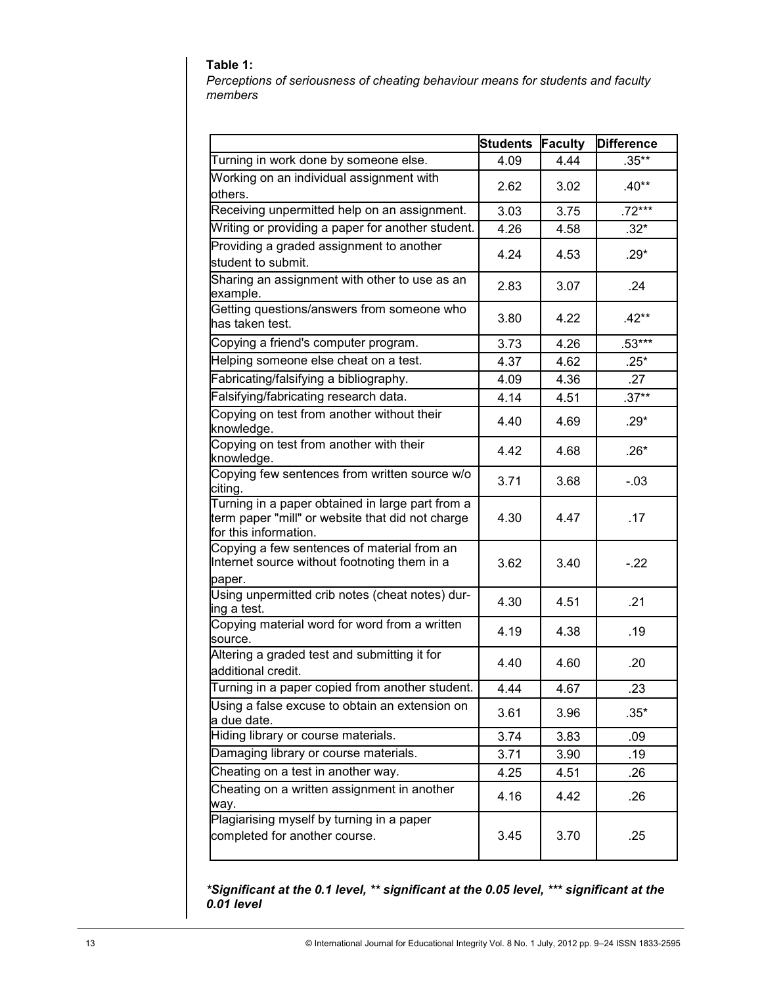## **Table 1:**

*Perceptions of seriousness of cheating behaviour means for students and faculty members*

|                                                                                                                               | <b>Students</b> | <b>Faculty</b> | <b>Difference</b> |
|-------------------------------------------------------------------------------------------------------------------------------|-----------------|----------------|-------------------|
| Turning in work done by someone else.                                                                                         | 4.09            | 4.44           | $.35***$          |
| Working on an individual assignment with<br>others.                                                                           | 2.62            | 3.02           | $.40**$           |
| Receiving unpermitted help on an assignment.                                                                                  | 3.03            | 3.75           | $.72***$          |
| Writing or providing a paper for another student.                                                                             | 4.26            | 4.58           | $.32*$            |
| Providing a graded assignment to another<br>student to submit.                                                                | 4.24            | 4.53           | $.29*$            |
| Sharing an assignment with other to use as an<br>example.                                                                     | 2.83            | 3.07           | .24               |
| Getting questions/answers from someone who<br>has taken test.                                                                 | 3.80            | 4.22           | $.42**$           |
| Copying a friend's computer program.                                                                                          | 3.73            | 4.26           | $.53***$          |
| Helping someone else cheat on a test.                                                                                         | 4.37            | 4.62           | $.25*$            |
| Fabricating/falsifying a bibliography.                                                                                        | 4.09            | 4.36           | .27               |
| Falsifying/fabricating research data.                                                                                         | 4.14            | 4.51           | $.37**$           |
| Copying on test from another without their<br>knowledge.                                                                      | 4.40            | 4.69           | $.29*$            |
| Copying on test from another with their<br>knowledge.                                                                         | 4.42            | 4.68           | $.26*$            |
| Copying few sentences from written source w/o<br>citing.                                                                      | 3.71            | 3.68           | $-.03$            |
| Turning in a paper obtained in large part from a<br>term paper "mill" or website that did not charge<br>for this information. | 4.30            | 4.47           | .17               |
| Copying a few sentences of material from an<br>Internet source without footnoting them in a<br>paper.                         | 3.62            | 3.40           | $-.22$            |
| Using unpermitted crib notes (cheat notes) dur-<br>ing a test.                                                                | 4.30            | 4.51           | .21               |
| Copying material word for word from a written<br>source.                                                                      | 4.19            | 4.38           | .19               |
| Altering a graded test and submitting it for<br>additional credit.                                                            | 4.40            | 4.60           | .20               |
| Turning in a paper copied from another student.                                                                               | 4.44            | 4.67           | .23               |
| Using a false excuse to obtain an extension on<br>a due date.                                                                 | 3.61            | 3.96           | $.35*$            |
| Hiding library or course materials.                                                                                           | 3.74            | 3.83           | .09               |
| Damaging library or course materials.                                                                                         | 3.71            | 3.90           | .19               |
| Cheating on a test in another way.                                                                                            | 4.25            | 4.51           | .26               |
| Cheating on a written assignment in another<br>way.                                                                           | 4.16            | 4.42           | .26               |
| Plagiarising myself by turning in a paper<br>completed for another course.                                                    | 3.45            | 3.70           | .25               |

*\*Significant at the 0.1 level, \*\* significant at the 0.05 level, \*\*\* significant at the 0.01 level*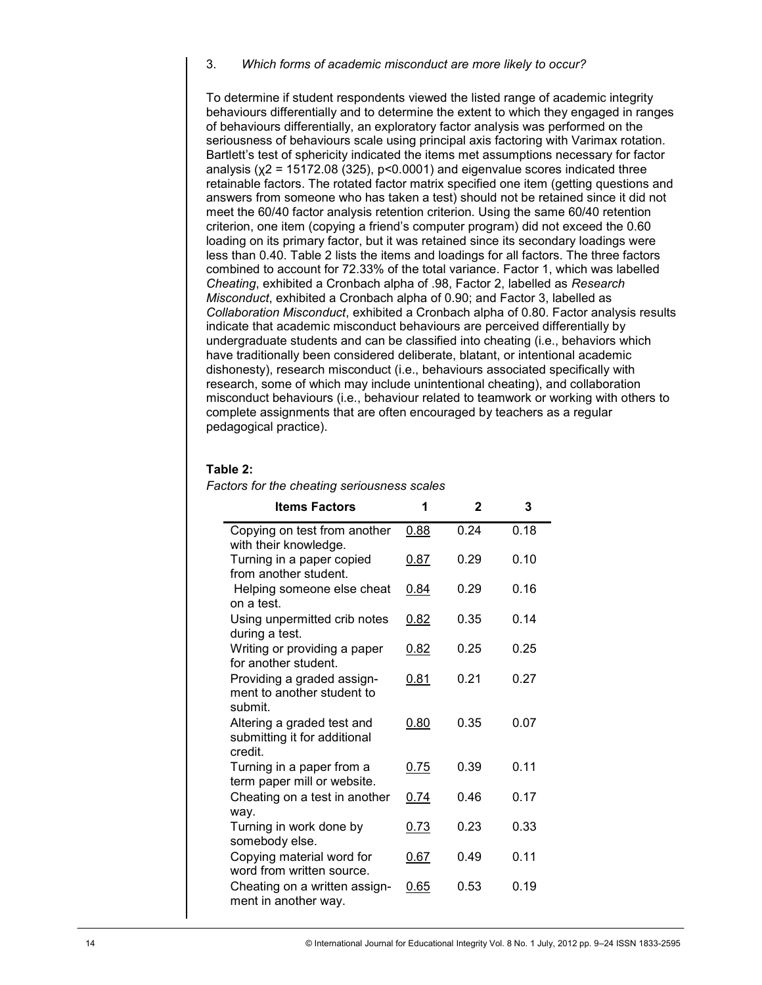#### 3. *Which forms of academic misconduct are more likely to occur?*

To determine if student respondents viewed the listed range of academic integrity behaviours differentially and to determine the extent to which they engaged in ranges of behaviours differentially, an exploratory factor analysis was performed on the seriousness of behaviours scale using principal axis factoring with Varimax rotation. Bartlett's test of sphericity indicated the items met assumptions necessary for factor analysis ( $x^2$  = 15172.08 (325), p<0.0001) and eigenvalue scores indicated three retainable factors. The rotated factor matrix specified one item (getting questions and answers from someone who has taken a test) should not be retained since it did not meet the 60/40 factor analysis retention criterion. Using the same 60/40 retention criterion, one item (copying a friend's computer program) did not exceed the 0.60 loading on its primary factor, but it was retained since its secondary loadings were less than 0.40. Table 2 lists the items and loadings for all factors. The three factors combined to account for 72.33% of the total variance. Factor 1, which was labelled *Cheating*, exhibited a Cronbach alpha of .98, Factor 2, labelled as *Research Misconduct*, exhibited a Cronbach alpha of 0.90; and Factor 3, labelled as *Collaboration Misconduct*, exhibited a Cronbach alpha of 0.80. Factor analysis results indicate that academic misconduct behaviours are perceived differentially by undergraduate students and can be classified into cheating (i.e., behaviors which have traditionally been considered deliberate, blatant, or intentional academic dishonesty), research misconduct (i.e., behaviours associated specifically with research, some of which may include unintentional cheating), and collaboration misconduct behaviours (i.e., behaviour related to teamwork or working with others to complete assignments that are often encouraged by teachers as a regular pedagogical practice).

#### **Table 2:**

| <b>Items Factors</b>                                                               | 1    | $\mathbf{2}$ | 3    |
|------------------------------------------------------------------------------------|------|--------------|------|
| Copying on test from another<br>with their knowledge.                              | 0.88 | 0.24         | 0.18 |
| Turning in a paper copied<br>from another student.                                 | 0.87 | 0.29         | 0.10 |
| Helping someone else cheat<br>on a test.                                           | 0.84 | 0.29         | 0.16 |
| Using unpermitted crib notes<br>during a test.                                     | 0.82 | 0.35         | 0.14 |
| Writing or providing a paper<br>for another student.                               | 0.82 | 0.25         | 0.25 |
| Providing a graded assign-<br>ment to another student to<br>submit.                | 0.81 | 0.21         | 0.27 |
| Altering a graded test and<br>submitting it for additional<br>credit.              | 0.80 | 0.35         | 0.07 |
| Turning in a paper from a<br>term paper mill or website.                           | 0.75 | 0.39         | 0.11 |
| Cheating on a test in another<br>way.                                              | 0.74 | 0.46         | 0.17 |
| Turning in work done by<br>somebody else.                                          | 0.73 | 0.23         | 0.33 |
| Copying material word for<br>word from written source.                             | 0.67 | 0.49         | 0.11 |
| Cheating on a written assign-<br>ment in another way.                              | 0.65 | 0.53         | 0.19 |
| © International Journal for Educational Integrity Vol. 8 No. 1 July, 2012 pp. 9-24 |      |              |      |

*Factors for the cheating seriousness scales*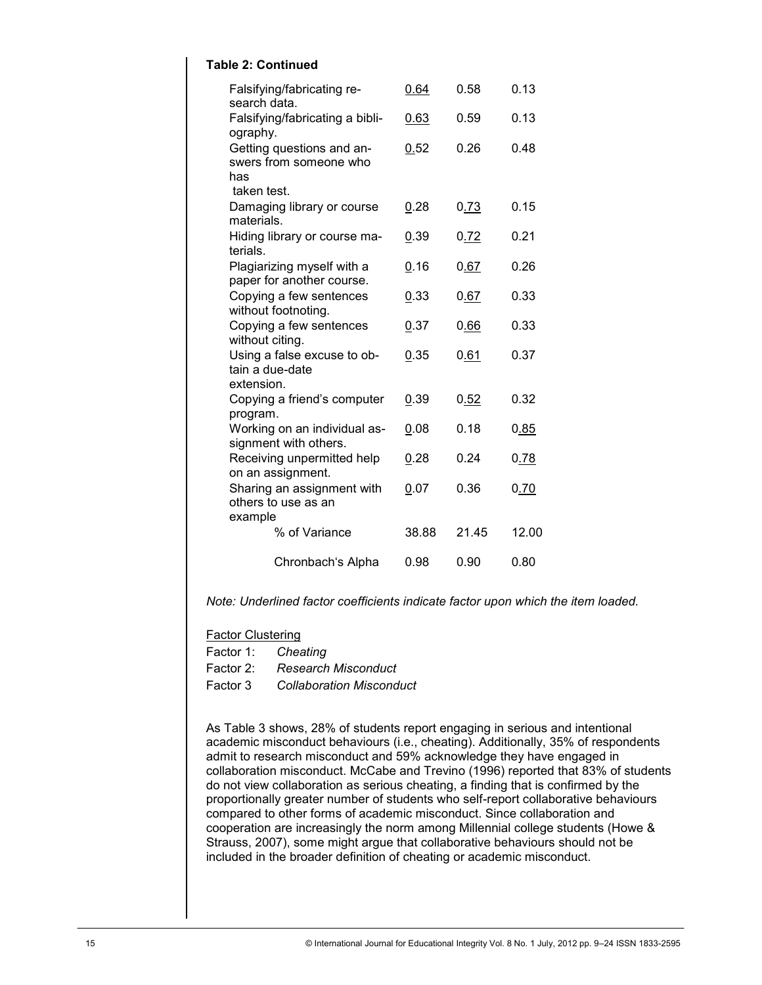## **Table 2: Continued**

| Falsifying/fabricating re-<br>search data.                                                                                                                                                                                                                                                                                                                                                                                                                                                                                                                                                                                                                                                                                                                                        | 0.64  | 0.58  | 0.13                                                                               |  |
|-----------------------------------------------------------------------------------------------------------------------------------------------------------------------------------------------------------------------------------------------------------------------------------------------------------------------------------------------------------------------------------------------------------------------------------------------------------------------------------------------------------------------------------------------------------------------------------------------------------------------------------------------------------------------------------------------------------------------------------------------------------------------------------|-------|-------|------------------------------------------------------------------------------------|--|
| Falsifying/fabricating a bibli-<br>ography.                                                                                                                                                                                                                                                                                                                                                                                                                                                                                                                                                                                                                                                                                                                                       | 0.63  | 0.59  | 0.13                                                                               |  |
| Getting questions and an-<br>swers from someone who<br>has                                                                                                                                                                                                                                                                                                                                                                                                                                                                                                                                                                                                                                                                                                                        | 0.52  | 0.26  | 0.48                                                                               |  |
| taken test.<br>Damaging library or course<br>materials.                                                                                                                                                                                                                                                                                                                                                                                                                                                                                                                                                                                                                                                                                                                           | 0.28  | 0.73  | 0.15                                                                               |  |
| Hiding library or course ma-<br>terials.                                                                                                                                                                                                                                                                                                                                                                                                                                                                                                                                                                                                                                                                                                                                          | 0.39  | 0.72  | 0.21                                                                               |  |
| Plagiarizing myself with a<br>paper for another course.                                                                                                                                                                                                                                                                                                                                                                                                                                                                                                                                                                                                                                                                                                                           | 0.16  | 0.67  | 0.26                                                                               |  |
| Copying a few sentences<br>without footnoting.                                                                                                                                                                                                                                                                                                                                                                                                                                                                                                                                                                                                                                                                                                                                    | 0.33  | 0.67  | 0.33                                                                               |  |
| Copying a few sentences<br>without citing.                                                                                                                                                                                                                                                                                                                                                                                                                                                                                                                                                                                                                                                                                                                                        | 0.37  | 0.66  | 0.33                                                                               |  |
| Using a false excuse to ob-<br>tain a due-date<br>extension.                                                                                                                                                                                                                                                                                                                                                                                                                                                                                                                                                                                                                                                                                                                      | 0.35  | 0.61  | 0.37                                                                               |  |
| Copying a friend's computer<br>program.                                                                                                                                                                                                                                                                                                                                                                                                                                                                                                                                                                                                                                                                                                                                           | 0.39  | 0.52  | 0.32                                                                               |  |
| Working on an individual as-<br>signment with others.                                                                                                                                                                                                                                                                                                                                                                                                                                                                                                                                                                                                                                                                                                                             | 0.08  | 0.18  | 0.85                                                                               |  |
| Receiving unpermitted help<br>on an assignment.                                                                                                                                                                                                                                                                                                                                                                                                                                                                                                                                                                                                                                                                                                                                   | 0.28  | 0.24  | 0.78                                                                               |  |
| Sharing an assignment with<br>others to use as an<br>example                                                                                                                                                                                                                                                                                                                                                                                                                                                                                                                                                                                                                                                                                                                      | 0.07  | 0.36  | 0.70                                                                               |  |
| % of Variance                                                                                                                                                                                                                                                                                                                                                                                                                                                                                                                                                                                                                                                                                                                                                                     | 38.88 | 21.45 | 12.00                                                                              |  |
| Chronbach's Alpha                                                                                                                                                                                                                                                                                                                                                                                                                                                                                                                                                                                                                                                                                                                                                                 | 0.98  | 0.90  | 0.80                                                                               |  |
| lote: Underlined factor coefficients indicate factor upon which the item loa                                                                                                                                                                                                                                                                                                                                                                                                                                                                                                                                                                                                                                                                                                      |       |       |                                                                                    |  |
| actor Clustering                                                                                                                                                                                                                                                                                                                                                                                                                                                                                                                                                                                                                                                                                                                                                                  |       |       |                                                                                    |  |
| actor 1:<br>Cheating<br>actor 2:<br><b>Research Misconduct</b>                                                                                                                                                                                                                                                                                                                                                                                                                                                                                                                                                                                                                                                                                                                    |       |       |                                                                                    |  |
| actor 3<br><b>Collaboration Misconduct</b>                                                                                                                                                                                                                                                                                                                                                                                                                                                                                                                                                                                                                                                                                                                                        |       |       |                                                                                    |  |
| s Table 3 shows, 28% of students report engaging in serious and intentio<br>cademic misconduct behaviours (i.e., cheating). Additionally, 35% of resp<br>dmit to research misconduct and 59% acknowledge they have engaged ir<br>ollaboration misconduct. McCabe and Trevino (1996) reported that 83% o<br>o not view collaboration as serious cheating, a finding that is confirmed by<br>roportionally greater number of students who self-report collaborative beh<br>ompared to other forms of academic misconduct. Since collaboration and<br>ooperation are increasingly the norm among Millennial college students (F<br>trauss, 2007), some might argue that collaborative behaviours should not<br>icluded in the broader definition of cheating or academic misconduct. |       |       |                                                                                    |  |
|                                                                                                                                                                                                                                                                                                                                                                                                                                                                                                                                                                                                                                                                                                                                                                                   |       |       | © International Journal for Educational Integrity Vol. 8 No. 1 July, 2012 pp. 9-24 |  |

*Note: Underlined factor coefficients indicate factor upon which the item loaded.*

#### **Factor Clustering**

Factor 1: *Cheating*

- Factor 2: *Research Misconduct*
- Factor 3 *Collaboration Misconduct*

As Table 3 shows, 28% of students report engaging in serious and intentional academic misconduct behaviours (i.e., cheating). Additionally, 35% of respondents admit to research misconduct and 59% acknowledge they have engaged in collaboration misconduct. McCabe and Trevino (1996) reported that 83% of students do not view collaboration as serious cheating, a finding that is confirmed by the proportionally greater number of students who self-report collaborative behaviours compared to other forms of academic misconduct. Since collaboration and cooperation are increasingly the norm among Millennial college students (Howe & Strauss, 2007), some might argue that collaborative behaviours should not be included in the broader definition of cheating or academic misconduct.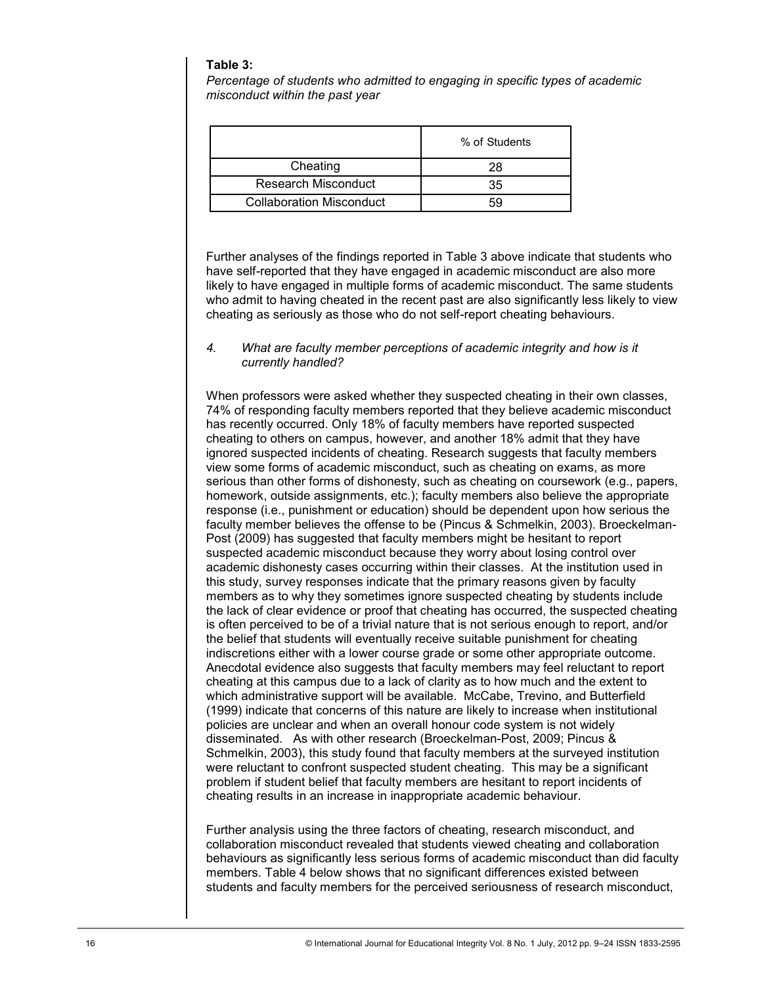#### **Table 3:**

*Percentage of students who admitted to engaging in specific types of academic misconduct within the past year*

|                                 | % of Students |  |
|---------------------------------|---------------|--|
| Cheating                        | 28            |  |
| Research Misconduct             | 35            |  |
| <b>Collaboration Misconduct</b> | 59            |  |

Further analyses of the findings reported in Table 3 above indicate that students who have self-reported that they have engaged in academic misconduct are also more likely to have engaged in multiple forms of academic misconduct. The same students who admit to having cheated in the recent past are also significantly less likely to view cheating as seriously as those who do not self-report cheating behaviours.

#### *4. What are faculty member perceptions of academic integrity and how is it currently handled?*

When professors were asked whether they suspected cheating in their own classes, 74% of responding faculty members reported that they believe academic misconduct has recently occurred. Only 18% of faculty members have reported suspected cheating to others on campus, however, and another 18% admit that they have ignored suspected incidents of cheating. Research suggests that faculty members view some forms of academic misconduct, such as cheating on exams, as more serious than other forms of dishonesty, such as cheating on coursework (e.g., papers, homework, outside assignments, etc.); faculty members also believe the appropriate response (i.e., punishment or education) should be dependent upon how serious the faculty member believes the offense to be (Pincus & Schmelkin, 2003). Broeckelman-Post (2009) has suggested that faculty members might be hesitant to report suspected academic misconduct because they worry about losing control over academic dishonesty cases occurring within their classes. At the institution used in this study, survey responses indicate that the primary reasons given by faculty members as to why they sometimes ignore suspected cheating by students include the lack of clear evidence or proof that cheating has occurred, the suspected cheating is often perceived to be of a trivial nature that is not serious enough to report, and/or the belief that students will eventually receive suitable punishment for cheating indiscretions either with a lower course grade or some other appropriate outcome. Anecdotal evidence also suggests that faculty members may feel reluctant to report cheating at this campus due to a lack of clarity as to how much and the extent to which administrative support will be available. McCabe, Trevino, and Butterfield (1999) indicate that concerns of this nature are likely to increase when institutional policies are unclear and when an overall honour code system is not widely disseminated. As with other research (Broeckelman-Post, 2009; Pincus & Schmelkin, 2003), this study found that faculty members at the surveyed institution were reluctant to confront suspected student cheating. This may be a significant problem if student belief that faculty members are hesitant to report incidents of cheating results in an increase in inappropriate academic behaviour.

Further analysis using the three factors of cheating, research misconduct, and collaboration misconduct revealed that students viewed cheating and collaboration behaviours as significantly less serious forms of academic misconduct than did faculty members. Table 4 below shows that no significant differences existed between students and faculty members for the perceived seriousness of research misconduct,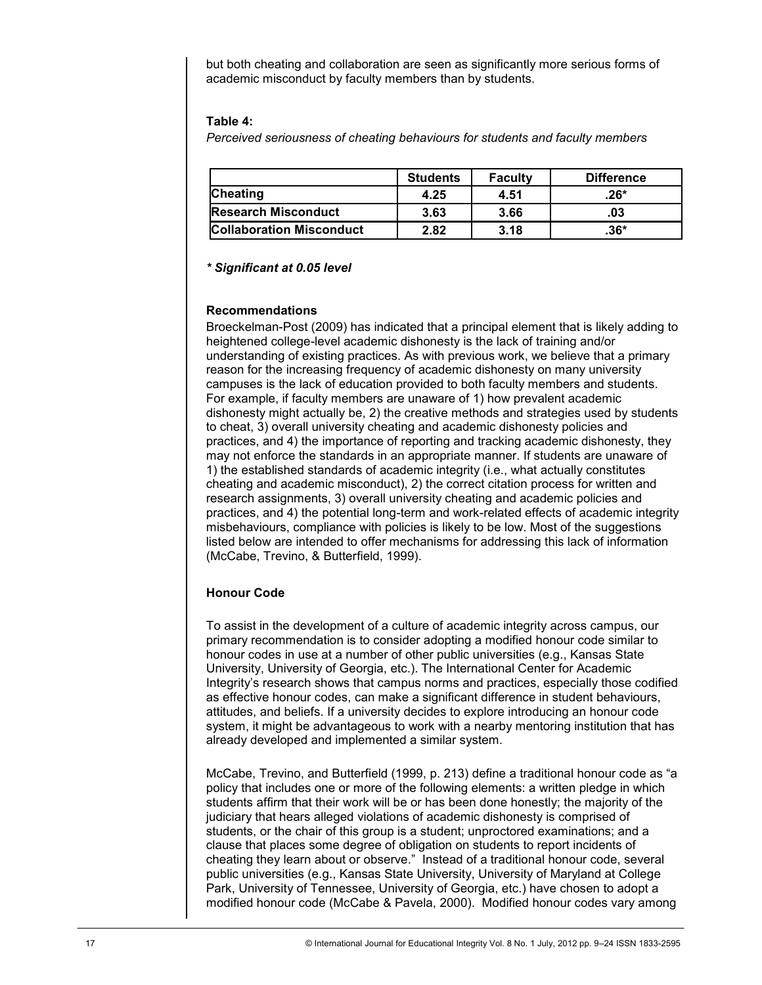but both cheating and collaboration are seen as significantly more serious forms of academic misconduct by faculty members than by students.

#### **Table 4:**

*Perceived seriousness of cheating behaviours for students and faculty members*

|                                 | <b>Students</b> | <b>Faculty</b> | <b>Difference</b> |
|---------------------------------|-----------------|----------------|-------------------|
| <b>Cheating</b>                 | 4.25            | 4.51           | .26*              |
| <b>Research Misconduct</b>      | 3.63            | 3.66           | .03               |
| <b>Collaboration Misconduct</b> | 2.82            | 3.18           | .36*              |

#### *\* Significant at 0.05 level*

### **Recommendations**

Broeckelman-Post (2009) has indicated that a principal element that is likely adding to heightened college-level academic dishonesty is the lack of training and/or understanding of existing practices. As with previous work, we believe that a primary reason for the increasing frequency of academic dishonesty on many university campuses is the lack of education provided to both faculty members and students. For example, if faculty members are unaware of 1) how prevalent academic dishonesty might actually be, 2) the creative methods and strategies used by students to cheat, 3) overall university cheating and academic dishonesty policies and practices, and 4) the importance of reporting and tracking academic dishonesty, they may not enforce the standards in an appropriate manner. If students are unaware of 1) the established standards of academic integrity (i.e., what actually constitutes cheating and academic misconduct), 2) the correct citation process for written and research assignments, 3) overall university cheating and academic policies and practices, and 4) the potential long-term and work-related effects of academic integrity misbehaviours, compliance with policies is likely to be low. Most of the suggestions listed below are intended to offer mechanisms for addressing this lack of information (McCabe, Trevino, & Butterfield, 1999).

## **Honour Code**

To assist in the development of a culture of academic integrity across campus, our primary recommendation is to consider adopting a modified honour code similar to honour codes in use at a number of other public universities (e.g., Kansas State University, University of Georgia, etc.). The International Center for Academic Integrity's research shows that campus norms and practices, especially those codified as effective honour codes, can make a significant difference in student behaviours, attitudes, and beliefs. If a university decides to explore introducing an honour code system, it might be advantageous to work with a nearby mentoring institution that has already developed and implemented a similar system.

McCabe, Trevino, and Butterfield (1999, p. 213) define a traditional honour code as "a policy that includes one or more of the following elements: a written pledge in which students affirm that their work will be or has been done honestly; the majority of the judiciary that hears alleged violations of academic dishonesty is comprised of students, or the chair of this group is a student; unproctored examinations; and a clause that places some degree of obligation on students to report incidents of cheating they learn about or observe." Instead of a traditional honour code, several public universities (e.g., Kansas State University, University of Maryland at College Park, University of Tennessee, University of Georgia, etc.) have chosen to adopt a modified honour code (McCabe & Pavela, 2000). Modified honour codes vary among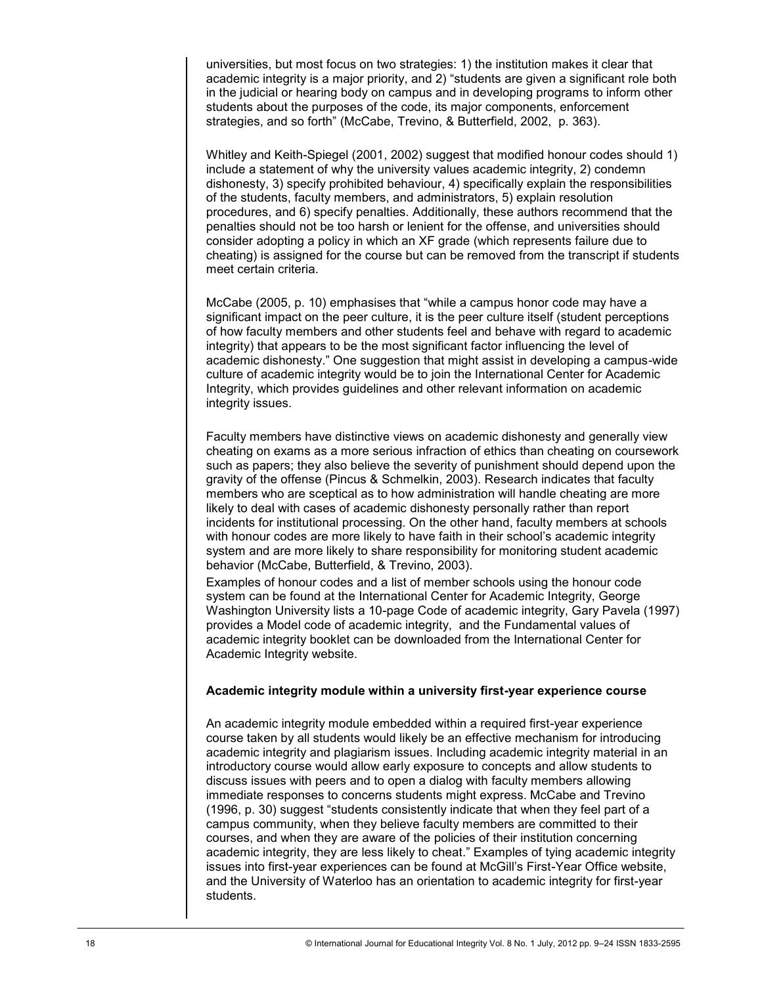universities, but most focus on two strategies: 1) the institution makes it clear that academic integrity is a major priority, and 2) "students are given a significant role both in the judicial or hearing body on campus and in developing programs to inform other students about the purposes of the code, its major components, enforcement strategies, and so forth" (McCabe, Trevino, & Butterfield, 2002, p. 363).

Whitley and Keith-Spiegel (2001, 2002) suggest that modified honour codes should 1) include a statement of why the university values academic integrity, 2) condemn dishonesty, 3) specify prohibited behaviour, 4) specifically explain the responsibilities of the students, faculty members, and administrators, 5) explain resolution procedures, and 6) specify penalties. Additionally, these authors recommend that the penalties should not be too harsh or lenient for the offense, and universities should consider adopting a policy in which an XF grade (which represents failure due to cheating) is assigned for the course but can be removed from the transcript if students meet certain criteria.

McCabe (2005, p. 10) emphasises that "while a campus honor code may have a significant impact on the peer culture, it is the peer culture itself (student perceptions of how faculty members and other students feel and behave with regard to academic integrity) that appears to be the most significant factor influencing the level of academic dishonesty.‖ One suggestion that might assist in developing a campus-wide culture of academic integrity would be to join the International Center for Academic Integrity, which provides guidelines and other relevant information on academic integrity issues.

Faculty members have distinctive views on academic dishonesty and generally view cheating on exams as a more serious infraction of ethics than cheating on coursework such as papers; they also believe the severity of punishment should depend upon the gravity of the offense (Pincus & Schmelkin, 2003). Research indicates that faculty members who are sceptical as to how administration will handle cheating are more likely to deal with cases of academic dishonesty personally rather than report incidents for institutional processing. On the other hand, faculty members at schools with honour codes are more likely to have faith in their school's academic integrity system and are more likely to share responsibility for monitoring student academic behavior (McCabe, Butterfield, & Trevino, 2003).

Examples of honour codes and a list of member schools using the honour code system can be found at the International Center for Academic Integrity, George Washington University lists a 10-page Code of academic integrity, Gary Pavela (1997) provides a Model code of academic integrity, and the Fundamental values of academic integrity booklet can be downloaded from the International Center for Academic Integrity website.

#### **Academic integrity module within a university first-year experience course**

An academic integrity module embedded within a required first-year experience course taken by all students would likely be an effective mechanism for introducing academic integrity and plagiarism issues. Including academic integrity material in an introductory course would allow early exposure to concepts and allow students to discuss issues with peers and to open a dialog with faculty members allowing immediate responses to concerns students might express. McCabe and Trevino  $(1996, p. 30)$  suggest "students consistently indicate that when they feel part of a campus community, when they believe faculty members are committed to their courses, and when they are aware of the policies of their institution concerning academic integrity, they are less likely to cheat." Examples of tying academic integrity issues into first-year experiences can be found at McGill's First-Year Office website, and the University of Waterloo has an orientation to academic integrity for first-year students.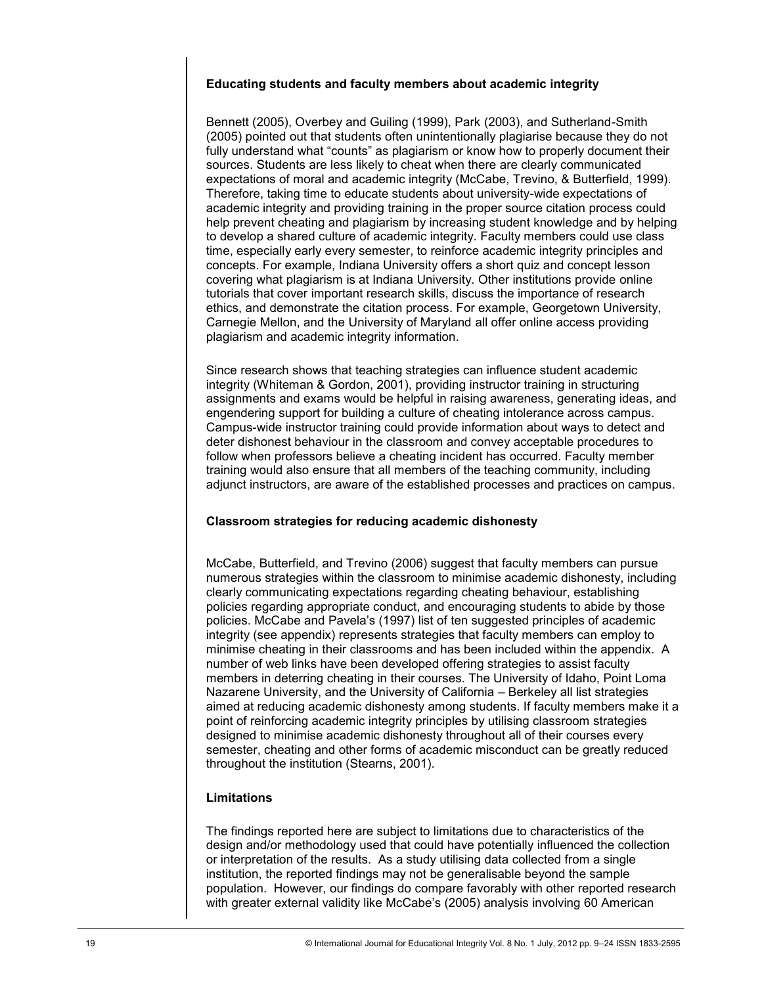#### **Educating students and faculty members about academic integrity**

Bennett (2005), Overbey and Guiling (1999), Park (2003), and Sutherland-Smith (2005) pointed out that students often unintentionally plagiarise because they do not fully understand what "counts" as plagiarism or know how to properly document their sources. Students are less likely to cheat when there are clearly communicated expectations of moral and academic integrity (McCabe, Trevino, & Butterfield, 1999). Therefore, taking time to educate students about university-wide expectations of academic integrity and providing training in the proper source citation process could help prevent cheating and plagiarism by increasing student knowledge and by helping to develop a shared culture of academic integrity. Faculty members could use class time, especially early every semester, to reinforce academic integrity principles and concepts. For example, Indiana University offers a short quiz and concept lesson covering what plagiarism is at Indiana University. Other institutions provide online tutorials that cover important research skills, discuss the importance of research ethics, and demonstrate the citation process. For example, Georgetown University, Carnegie Mellon, and the University of Maryland all offer online access providing plagiarism and academic integrity information.

Since research shows that teaching strategies can influence student academic integrity (Whiteman & Gordon, 2001), providing instructor training in structuring assignments and exams would be helpful in raising awareness, generating ideas, and engendering support for building a culture of cheating intolerance across campus. Campus-wide instructor training could provide information about ways to detect and deter dishonest behaviour in the classroom and convey acceptable procedures to follow when professors believe a cheating incident has occurred. Faculty member training would also ensure that all members of the teaching community, including adjunct instructors, are aware of the established processes and practices on campus.

#### **Classroom strategies for reducing academic dishonesty**

McCabe, Butterfield, and Trevino (2006) suggest that faculty members can pursue numerous strategies within the classroom to minimise academic dishonesty, including clearly communicating expectations regarding cheating behaviour, establishing policies regarding appropriate conduct, and encouraging students to abide by those policies. McCabe and Pavela's (1997) list of ten suggested principles of academic integrity (see appendix) represents strategies that faculty members can employ to minimise cheating in their classrooms and has been included within the appendix. A number of web links have been developed offering strategies to assist faculty members in deterring cheating in their courses. The University of Idaho, Point Loma Nazarene University, and the University of California – Berkeley all list strategies aimed at reducing academic dishonesty among students. If faculty members make it a point of reinforcing academic integrity principles by utilising classroom strategies designed to minimise academic dishonesty throughout all of their courses every semester, cheating and other forms of academic misconduct can be greatly reduced throughout the institution (Stearns, 2001).

## **Limitations**

The findings reported here are subject to limitations due to characteristics of the design and/or methodology used that could have potentially influenced the collection or interpretation of the results. As a study utilising data collected from a single institution, the reported findings may not be generalisable beyond the sample population. However, our findings do compare favorably with other reported research with greater external validity like McCabe's (2005) analysis involving 60 American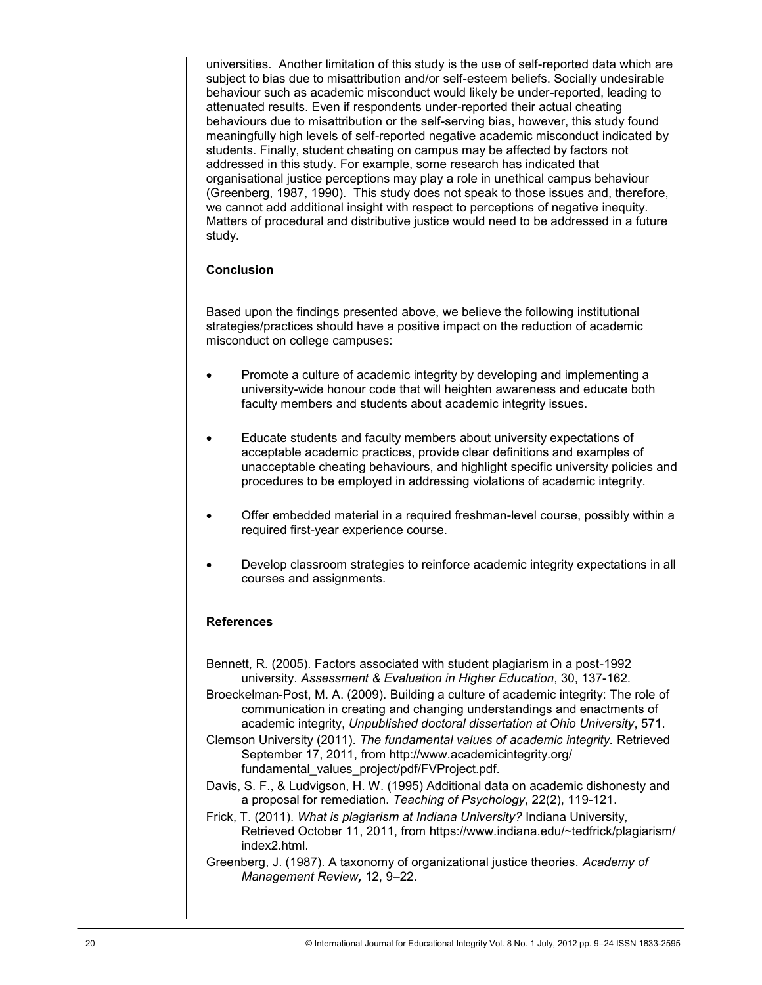universities. Another limitation of this study is the use of self-reported data which are subject to bias due to misattribution and/or self-esteem beliefs. Socially undesirable behaviour such as academic misconduct would likely be under-reported, leading to attenuated results. Even if respondents under-reported their actual cheating behaviours due to misattribution or the self-serving bias, however, this study found meaningfully high levels of self-reported negative academic misconduct indicated by students. Finally, student cheating on campus may be affected by factors not addressed in this study. For example, some research has indicated that organisational justice perceptions may play a role in unethical campus behaviour (Greenberg, 1987, 1990). This study does not speak to those issues and, therefore, we cannot add additional insight with respect to perceptions of negative inequity. Matters of procedural and distributive justice would need to be addressed in a future study.

## **Conclusion**

Based upon the findings presented above, we believe the following institutional strategies/practices should have a positive impact on the reduction of academic misconduct on college campuses:

- Promote a culture of academic integrity by developing and implementing a university-wide honour code that will heighten awareness and educate both faculty members and students about academic integrity issues.
- Educate students and faculty members about university expectations of acceptable academic practices, provide clear definitions and examples of unacceptable cheating behaviours, and highlight specific university policies and procedures to be employed in addressing violations of academic integrity.
- Offer embedded material in a required freshman-level course, possibly within a required first-year experience course.
- Develop classroom strategies to reinforce academic integrity expectations in all courses and assignments.

### **References**

- Bennett, R. (2005). Factors associated with student plagiarism in a post-1992 university. *Assessment & Evaluation in Higher Education*, 30, 137-162.
- Broeckelman-Post, M. A. (2009). Building a culture of academic integrity: The role of communication in creating and changing understandings and enactments of academic integrity, *Unpublished doctoral dissertation at Ohio University*, 571.
- Clemson University (2011). *The fundamental values of academic integrity.* Retrieved September 17, 2011, from http://www.academicintegrity.org/ fundamental\_values\_project/pdf/FVProject.pdf.
- Davis, S. F., & Ludvigson, H. W. (1995) Additional data on academic dishonesty and a proposal for remediation. *Teaching of Psychology*, 22(2), 119-121.
- Frick, T. (2011). *What is plagiarism at Indiana University?* Indiana University, Retrieved October 11, 2011, from https://www.indiana.edu/~tedfrick/plagiarism/ index2.html.
- Greenberg, J. (1987). A taxonomy of organizational justice theories. *Academy of Management Review,* 12, 9–22.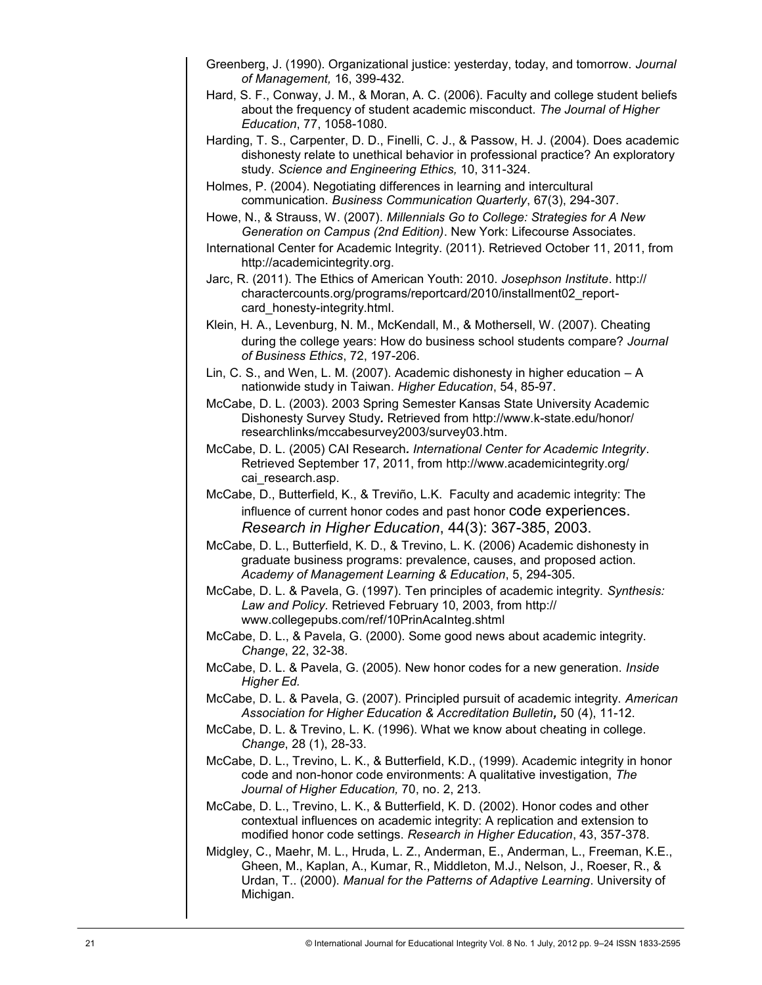- Greenberg, J. (1990). Organizational justice: yesterday, today, and tomorrow. *Journal of Management,* 16, 399-432.
- Hard, S. F., Conway, J. M., & Moran, A. C. (2006). Faculty and college student beliefs about the frequency of student academic misconduct. *The Journal of Higher Education*, 77, 1058-1080.
- Harding, T. S., Carpenter, D. D., Finelli, C. J., & Passow, H. J. (2004). Does academic dishonesty relate to unethical behavior in professional practice? An exploratory study. *Science and Engineering Ethics,* 10, 311-324.
- Holmes, P. (2004). Negotiating differences in learning and intercultural communication. *Business Communication Quarterly*, 67(3), 294-307.
- Howe, N., & Strauss, W. (2007). *Millennials Go to College: Strategies for A New Generation on Campus (2nd Edition)*. New York: Lifecourse Associates.
- International Center for Academic Integrity. (2011). Retrieved October 11, 2011, from http://academicintegrity.org.
- Jarc, R. (2011). The Ethics of American Youth: 2010. *Josephson Institute*. http:// charactercounts.org/programs/reportcard/2010/installment02\_reportcard\_honesty-integrity.html.
- Klein, H. A., Levenburg, N. M., McKendall, M., & Mothersell, W. (2007). Cheating during the college years: How do business school students compare? *Journal of Business Ethics*, 72, 197-206.
- Lin, C. S., and Wen, L. M. (2007). Academic dishonesty in higher education A nationwide study in Taiwan. *Higher Education*, 54, 85-97.
- McCabe, D. L. (2003). 2003 Spring Semester Kansas State University Academic Dishonesty Survey Study*.* Retrieved from http://www.k-state.edu/honor/ researchlinks/mccabesurvey2003/survey03.htm.
- McCabe, D. L. (2005) CAI Research*. International Center for Academic Integrity*. Retrieved September 17, 2011, from http://www.academicintegrity.org/ cai\_research.asp.
- McCabe, D., Butterfield, K., & Treviño, L.K. Faculty and academic integrity: The influence of current honor codes and past honor code experiences. *Research in Higher Education*, 44(3): 367-385, 2003.
- McCabe, D. L., Butterfield, K. D., & Trevino, L. K. (2006) Academic dishonesty in graduate business programs: prevalence, causes, and proposed action. *Academy of Management Learning & Education*, 5, 294-305.
- McCabe, D. L. & Pavela, G. (1997). Ten principles of academic integrity. *Synthesis: Law and Policy.* Retrieved February 10, 2003, from http:// www.collegepubs.com/ref/10PrinAcaInteg.shtml
- McCabe, D. L., & Pavela, G. (2000). Some good news about academic integrity. *Change*, 22, 32-38.
- McCabe, D. L. & Pavela, G. (2005). New honor codes for a new generation. *Inside Higher Ed.*
- McCabe, D. L. & Pavela, G. (2007). Principled pursuit of academic integrity. *American Association for Higher Education & Accreditation Bulletin,* 50 (4), 11-12.
- McCabe, D. L. & Trevino, L. K. (1996). What we know about cheating in college. *Change*, 28 (1), 28-33.
- McCabe, D. L., Trevino, L. K., & Butterfield, K.D., (1999). Academic integrity in honor code and non-honor code environments: A qualitative investigation, *The Journal of Higher Education,* 70, no. 2, 213*.*
- McCabe, D. L., Trevino, L. K., & Butterfield, K. D. (2002). Honor codes and other contextual influences on academic integrity: A replication and extension to modified honor code settings. *Research in Higher Education*, 43, 357-378.
- Midgley, C., Maehr, M. L., Hruda, L. Z., Anderman, E., Anderman, L., Freeman, K.E., Gheen, M., Kaplan, A., Kumar, R., Middleton, M.J., Nelson, J., Roeser, R., & Urdan, T.. (2000). *Manual for the Patterns of Adaptive Learning*. University of Michigan.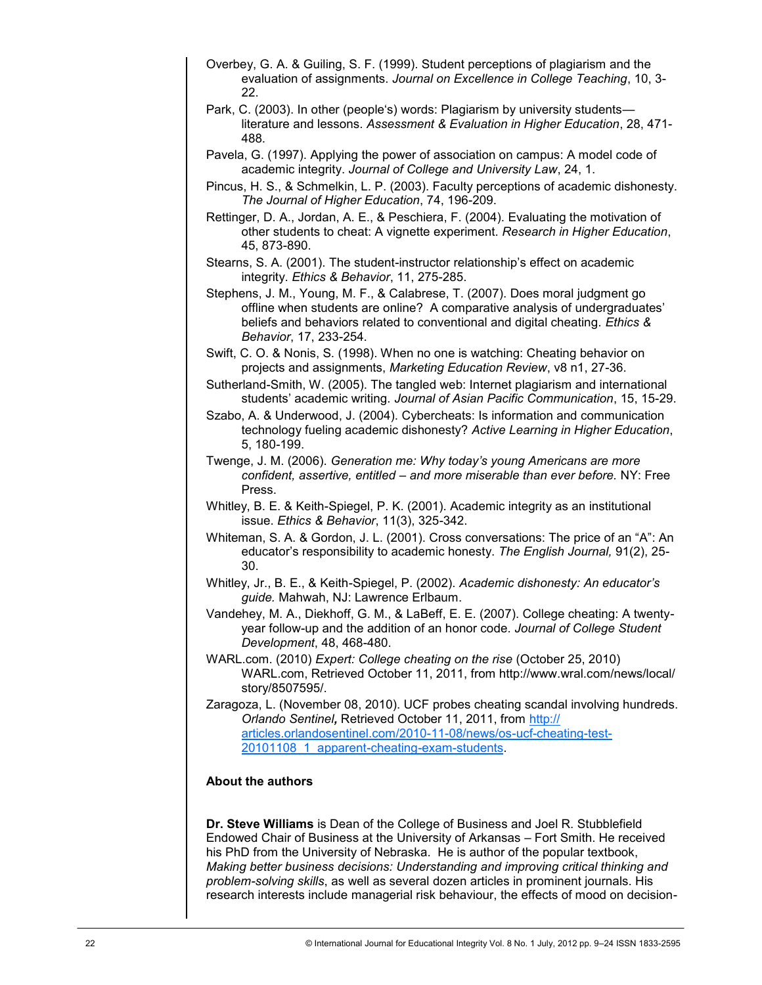- Overbey, G. A. & Guiling, S. F. (1999). Student perceptions of plagiarism and the evaluation of assignments. *Journal on Excellence in College Teaching*, 10, 3- 22.
- Park, C. (2003). In other (people's) words: Plagiarism by university students literature and lessons. *Assessment & Evaluation in Higher Education*, 28, 471- 488.
- Pavela, G. (1997). Applying the power of association on campus: A model code of academic integrity. *Journal of College and University Law*, 24, 1.
- Pincus, H. S., & Schmelkin, L. P. (2003). Faculty perceptions of academic dishonesty. *The Journal of Higher Education*, 74, 196-209.
- Rettinger, D. A., Jordan, A. E., & Peschiera, F. (2004). Evaluating the motivation of other students to cheat: A vignette experiment. *Research in Higher Education*, 45, 873-890.
- Stearns, S. A. (2001). The student-instructor relationship's effect on academic integrity. *Ethics & Behavior*, 11, 275-285.
- Stephens, J. M., Young, M. F., & Calabrese, T. (2007). Does moral judgment go offline when students are online? A comparative analysis of undergraduates' beliefs and behaviors related to conventional and digital cheating. *Ethics & Behavior*, 17, 233-254.
- Swift, C. O. & Nonis, S. (1998). When no one is watching: Cheating behavior on projects and assignments, *Marketing Education Review*, v8 n1, 27-36.
- Sutherland-Smith, W. (2005). The tangled web: Internet plagiarism and international students' academic writing. *Journal of Asian Pacific Communication*, 15, 15-29.
- Szabo, A. & Underwood, J. (2004). Cybercheats: Is information and communication technology fueling academic dishonesty? *Active Learning in Higher Education*, 5, 180-199.
- Twenge, J. M. (2006). *Generation me: Why today's young Americans are more confident, assertive, entitled – and more miserable than ever before.* NY: Free Press.
- Whitley, B. E. & Keith-Spiegel, P. K. (2001). Academic integrity as an institutional issue. *Ethics & Behavior*, 11(3), 325-342.
- Whiteman, S. A. & Gordon, J. L. (2001). Cross conversations: The price of an "A": An educator's responsibility to academic honesty. *The English Journal,* 91(2), 25- 30.
- Whitley, Jr., B. E., & Keith-Spiegel, P. (2002). *Academic dishonesty: An educator's guide.* Mahwah, NJ: Lawrence Erlbaum.
- Vandehey, M. A., Diekhoff, G. M., & LaBeff, E. E. (2007). College cheating: A twentyyear follow-up and the addition of an honor code. *Journal of College Student Development*, 48, 468-480.
- WARL.com. (2010) *Expert: College cheating on the rise* (October 25, 2010) WARL.com, Retrieved October 11, 2011, from http://www.wral.com/news/local/ story/8507595/.
- Zaragoza, L. (November 08, 2010). UCF probes cheating scandal involving hundreds. *Orlando Sentinel,* Retrieved October 11, 2011, from [http://](http://articles.orlandosentinel.com/2010-11-08/news/os-ucf-cheating-test-20101108_1_apparent-cheating-exam-students) [articles.orlandosentinel.com/2010](http://articles.orlandosentinel.com/2010-11-08/news/os-ucf-cheating-test-20101108_1_apparent-cheating-exam-students)-11-08/news/os-ucf-cheating-test-20101108 1 apparent-cheating-exam-students.

#### **About the authors**

**Dr. Steve Williams** is Dean of the College of Business and Joel R. Stubblefield Endowed Chair of Business at the University of Arkansas – Fort Smith. He received his PhD from the University of Nebraska. He is author of the popular textbook, *Making better business decisions: Understanding and improving critical thinking and problem-solving skills*, as well as several dozen articles in prominent journals. His research interests include managerial risk behaviour, the effects of mood on decision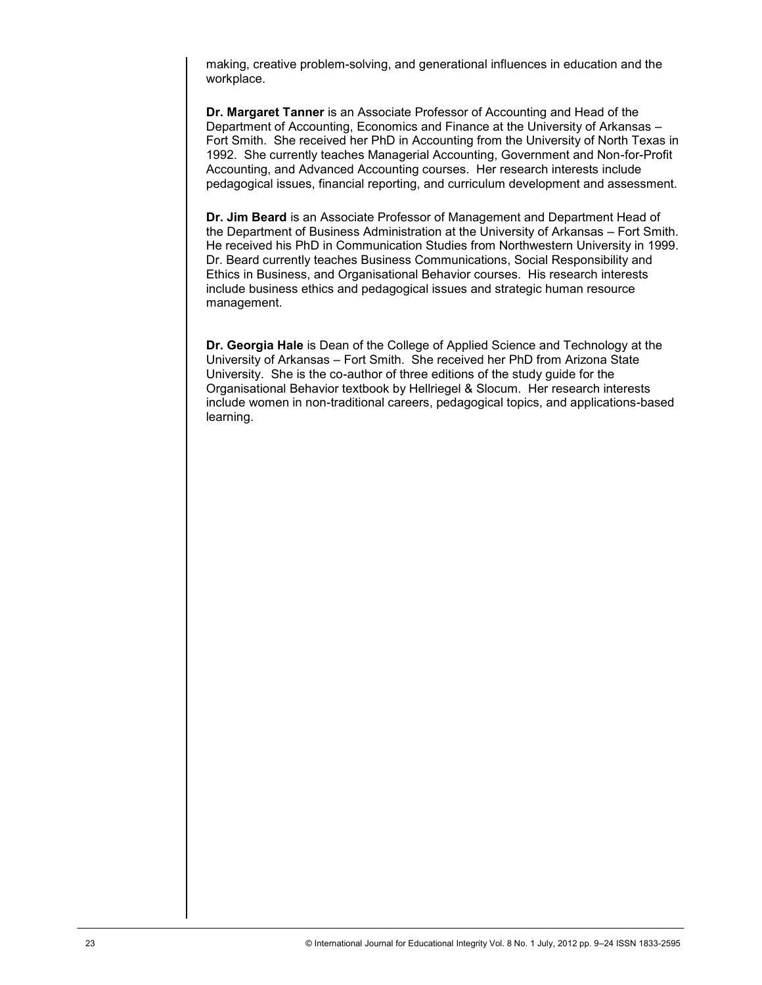making, creative problem-solving, and generational influences in education and the workplace.

**Dr. Margaret Tanner** is an Associate Professor of Accounting and Head of the Department of Accounting, Economics and Finance at the University of Arkansas – Fort Smith. She received her PhD in Accounting from the University of North Texas in 1992. She currently teaches Managerial Accounting, Government and Non-for-Profit Accounting, and Advanced Accounting courses. Her research interests include pedagogical issues, financial reporting, and curriculum development and assessment.

**Dr. Jim Beard** is an Associate Professor of Management and Department Head of the Department of Business Administration at the University of Arkansas – Fort Smith. He received his PhD in Communication Studies from Northwestern University in 1999. Dr. Beard currently teaches Business Communications, Social Responsibility and Ethics in Business, and Organisational Behavior courses. His research interests include business ethics and pedagogical issues and strategic human resource management.

**Dr. Georgia Hale** is Dean of the College of Applied Science and Technology at the University of Arkansas – Fort Smith. She received her PhD from Arizona State University. She is the co-author of three editions of the study guide for the Organisational Behavior textbook by Hellriegel & Slocum. Her research interests include women in non-traditional careers, pedagogical topics, and applications-based learning.